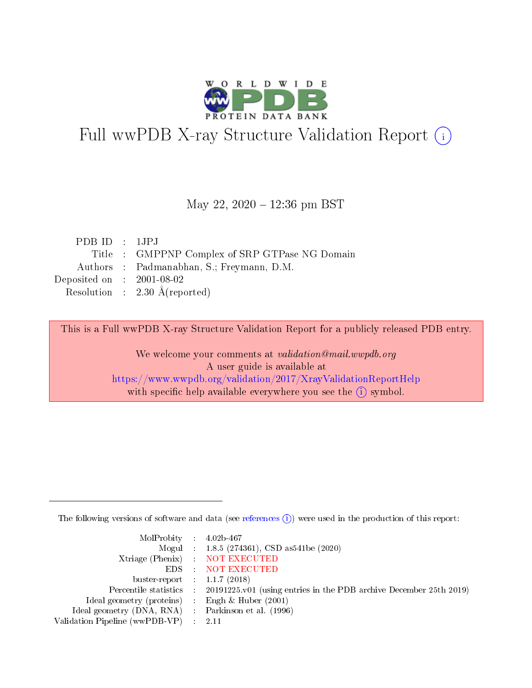

# Full wwPDB X-ray Structure Validation Report (i)

#### May 22, 2020 - 12:36 pm BST

| PDBID : 1JPJ                |                                               |
|-----------------------------|-----------------------------------------------|
|                             | Title: GMPPNP Complex of SRP GTPase NG Domain |
|                             | Authors : Padmanabhan, S.; Freymann, D.M.     |
| Deposited on : $2001-08-02$ |                                               |
|                             | Resolution : $2.30 \text{ Å}$ (reported)      |

This is a Full wwPDB X-ray Structure Validation Report for a publicly released PDB entry.

We welcome your comments at validation@mail.wwpdb.org A user guide is available at <https://www.wwpdb.org/validation/2017/XrayValidationReportHelp> with specific help available everywhere you see the  $(i)$  symbol.

The following versions of software and data (see [references](https://www.wwpdb.org/validation/2017/XrayValidationReportHelp#references)  $(i)$ ) were used in the production of this report:

| MolProbity : $4.02b-467$                            |                                                                                            |
|-----------------------------------------------------|--------------------------------------------------------------------------------------------|
|                                                     | Mogul : 1.8.5 (274361), CSD as 541be (2020)                                                |
|                                                     | Xtriage (Phenix) NOT EXECUTED                                                              |
|                                                     | EDS : NOT EXECUTED                                                                         |
| buster-report : $1.1.7(2018)$                       |                                                                                            |
|                                                     | Percentile statistics : 20191225.v01 (using entries in the PDB archive December 25th 2019) |
| Ideal geometry (proteins) : Engh $\&$ Huber (2001)  |                                                                                            |
| Ideal geometry (DNA, RNA) : Parkinson et al. (1996) |                                                                                            |
| Validation Pipeline (wwPDB-VP)                      | - 2.11                                                                                     |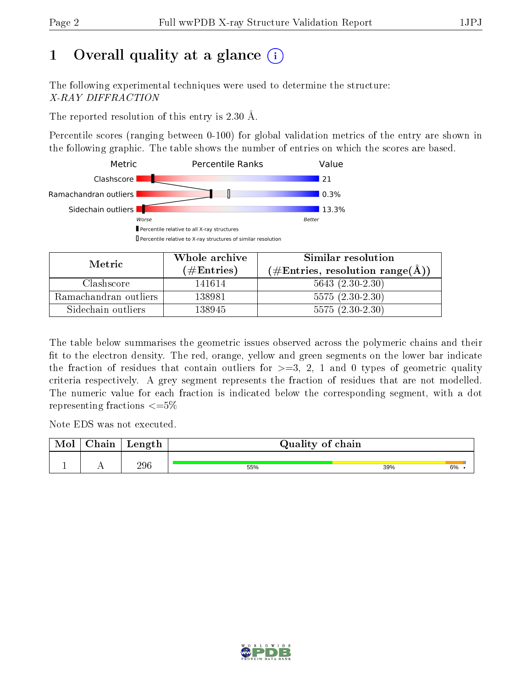# 1 [O](https://www.wwpdb.org/validation/2017/XrayValidationReportHelp#overall_quality)verall quality at a glance  $(i)$

The following experimental techniques were used to determine the structure: X-RAY DIFFRACTION

The reported resolution of this entry is 2.30 Å.

Percentile scores (ranging between 0-100) for global validation metrics of the entry are shown in the following graphic. The table shows the number of entries on which the scores are based.



| Metric                | Whole archive       | Similar resolution                                 |  |  |
|-----------------------|---------------------|----------------------------------------------------|--|--|
|                       | (# $\rm{Entries}$ ) | $(\text{\#Entries, resolution range}(\text{\AA}))$ |  |  |
| Clashscore            | 141614              | $5643 (2.30-2.30)$                                 |  |  |
| Ramachandran outliers | 138981              | $5575(2.30-2.30)$                                  |  |  |
| Sidechain outliers    | 138945              | $5575(2.30-2.30)$                                  |  |  |

The table below summarises the geometric issues observed across the polymeric chains and their fit to the electron density. The red, orange, yellow and green segments on the lower bar indicate the fraction of residues that contain outliers for  $\geq=3$ , 2, 1 and 0 types of geometric quality criteria respectively. A grey segment represents the fraction of residues that are not modelled. The numeric value for each fraction is indicated below the corresponding segment, with a dot representing fractions  $\epsilon = 5\%$ 

Note EDS was not executed.

| <b>Mol</b> | $\cap$ hain | Length | Quality of chain |     |    |
|------------|-------------|--------|------------------|-----|----|
|            |             | 296    | 55%              | 39% | 6% |

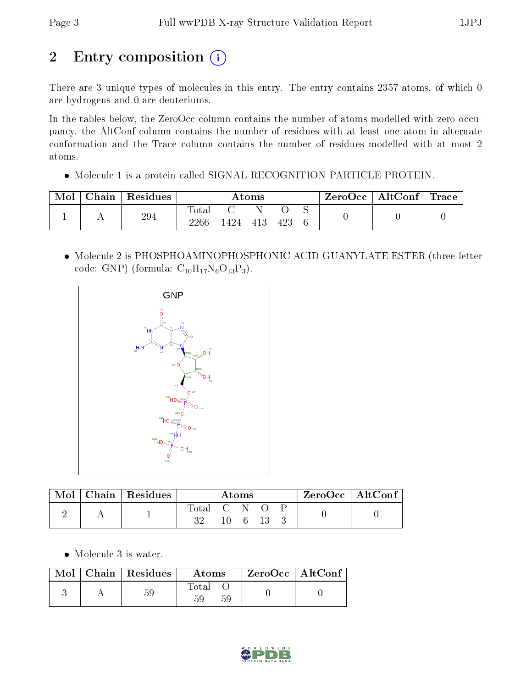# 2 Entry composition (i)

There are 3 unique types of molecules in this entry. The entry contains 2357 atoms, of which 0 are hydrogens and 0 are deuteriums.

In the tables below, the ZeroOcc column contains the number of atoms modelled with zero occupancy, the AltConf column contains the number of residues with at least one atom in alternate conformation and the Trace column contains the number of residues modelled with at most 2 atoms.

Molecule 1 is a protein called SIGNAL RECOGNITION PARTICLE PROTEIN.

| Mol | Chain | Residues | $\rm{Atoms}$  |     |     |  | $\text{ZeroOcc} \mid \text{AltConf} \mid \text{Trace}$ |  |  |
|-----|-------|----------|---------------|-----|-----|--|--------------------------------------------------------|--|--|
|     |       | 294      | Total<br>2266 | 424 | 413 |  |                                                        |  |  |

 Molecule 2 is PHOSPHOAMINOPHOSPHONIC ACID-GUANYLATE ESTER (three-letter code: GNP) (formula:  $C_{10}H_{17}N_6O_{13}P_3$ ).



| Mol | Chain   Residues | Atoms     |  |  | $ZeroOcc \mid AltConf \mid$ |  |  |  |
|-----|------------------|-----------|--|--|-----------------------------|--|--|--|
|     |                  | lotal C N |  |  |                             |  |  |  |

Molecule 3 is water.

| $\text{Mol}$ | $\vert$ Chain $\vert$ Residues | Atoms       | $ZeroOcc$   AltConf |  |
|--------------|--------------------------------|-------------|---------------------|--|
|              | 59                             | Total<br>59 |                     |  |

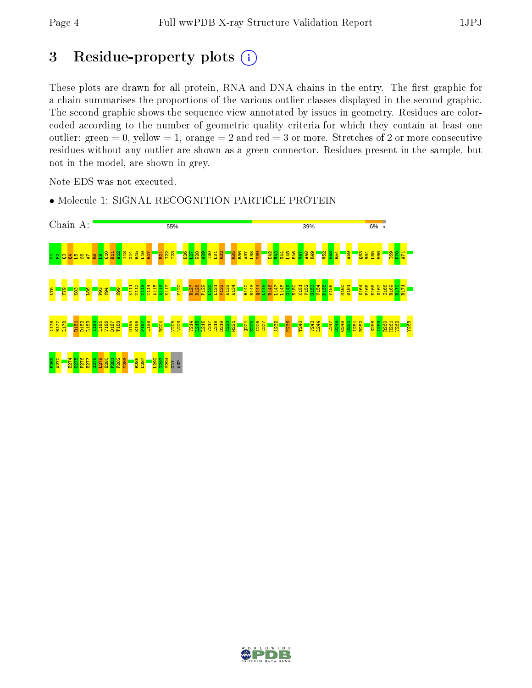## 3 Residue-property plots  $(i)$

These plots are drawn for all protein, RNA and DNA chains in the entry. The first graphic for a chain summarises the proportions of the various outlier classes displayed in the second graphic. The second graphic shows the sequence view annotated by issues in geometry. Residues are colorcoded according to the number of geometric quality criteria for which they contain at least one outlier: green  $= 0$ , yellow  $= 1$ , orange  $= 2$  and red  $= 3$  or more. Stretches of 2 or more consecutive residues without any outlier are shown as a green connector. Residues present in the sample, but not in the model, are shown in grey.

Note EDS was not executed.

• Molecule 1: SIGNAL RECOGNITION PARTICLE PROTEIN



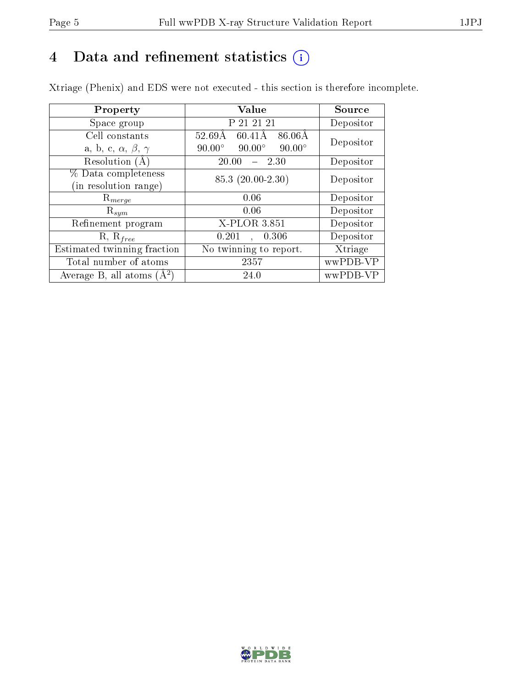# 4 Data and refinement statistics  $(i)$

Xtriage (Phenix) and EDS were not executed - this section is therefore incomplete.

| Property                               | Value                                              | Source    |  |
|----------------------------------------|----------------------------------------------------|-----------|--|
| Space group                            | P 21 21 21                                         | Depositor |  |
| Cell constants                         | $86.06\text{\AA}$<br>$52.69\mathrm{\AA}$<br>60.41Å | Depositor |  |
| a, b, c, $\alpha$ , $\beta$ , $\gamma$ | $90.00^\circ$<br>$90.00^\circ$<br>$90.00^\circ$    |           |  |
| Resolution $(A)$                       | 20.00<br>$-2.30$                                   | Depositor |  |
| % Data completeness                    | $85.3(20.00-2.30)$                                 | Depositor |  |
| (in resolution range)                  |                                                    |           |  |
| $\mathrm{R}_{merge}$                   | 0.06                                               | Depositor |  |
| $\mathrm{R}_{sym}$                     | 0.06                                               | Depositor |  |
| Refinement program                     | X-PLOR 3.851                                       | Depositor |  |
| $R, R_{free}$                          | 0.201<br>0.306<br>$\mathbf{A}^{\mathbf{r}}$        | Depositor |  |
| Estimated twinning fraction            | No twinning to report.                             | Xtriage   |  |
| Total number of atoms                  | 2357                                               | wwPDB-VP  |  |
| Average B, all atoms $(A^2)$           | 24.0                                               | wwPDB-VP  |  |

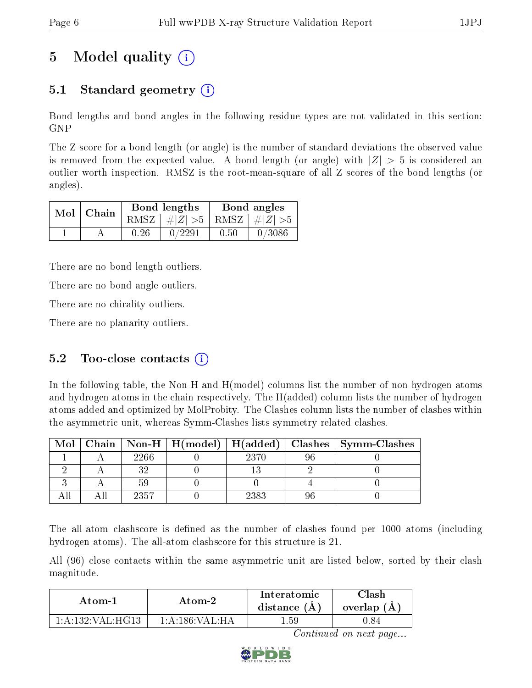# 5 Model quality  $(i)$

## 5.1 Standard geometry  $\overline{()}$

Bond lengths and bond angles in the following residue types are not validated in this section: GNP

The Z score for a bond length (or angle) is the number of standard deviations the observed value is removed from the expected value. A bond length (or angle) with  $|Z| > 5$  is considered an outlier worth inspection. RMSZ is the root-mean-square of all Z scores of the bond lengths (or angles).

|  | $Mol$   Chain |      | <b>Bond lengths</b>             | Bond angles |        |  |
|--|---------------|------|---------------------------------|-------------|--------|--|
|  |               |      | RMSZ $ #Z  > 5$ RMSZ $ #Z  > 5$ |             |        |  |
|  |               | 0.26 | 0/2291                          | 0.50        | 0/3086 |  |

There are no bond length outliers.

There are no bond angle outliers.

There are no chirality outliers.

There are no planarity outliers.

## 5.2 Too-close contacts  $(i)$

In the following table, the Non-H and H(model) columns list the number of non-hydrogen atoms and hydrogen atoms in the chain respectively. The H(added) column lists the number of hydrogen atoms added and optimized by MolProbity. The Clashes column lists the number of clashes within the asymmetric unit, whereas Symm-Clashes lists symmetry related clashes.

| Mol |      |      | Chain   Non-H   H(model)   H(added)   Clashes   Symm-Clashes |
|-----|------|------|--------------------------------------------------------------|
|     | 2266 | 2370 |                                                              |
|     |      |      |                                                              |
|     |      |      |                                                              |
|     | 2357 | 2383 |                                                              |

The all-atom clashscore is defined as the number of clashes found per 1000 atoms (including hydrogen atoms). The all-atom clashscore for this structure is 21.

All (96) close contacts within the same asymmetric unit are listed below, sorted by their clash magnitude.

| Atom-1                  | Atom-2                                   |       | Clash<br>overlap $(A)$ |
|-------------------------|------------------------------------------|-------|------------------------|
| $1:$ A $:$ 132 VAL HG13 | $1 \cdot A \cdot 186 \cdot VAT \cdot HA$ | 1.59- | II 84                  |

Continued on next page...

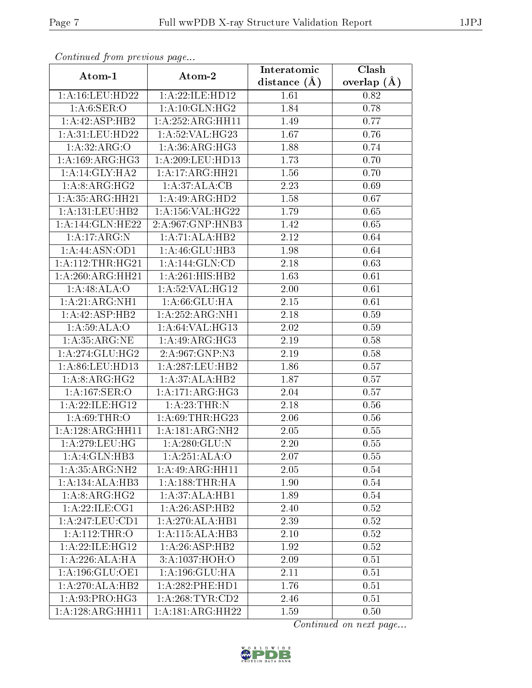| Continued from previous page |                     | Interatomic       | Clash         |  |
|------------------------------|---------------------|-------------------|---------------|--|
| Atom-1                       | Atom-2              | distance $(\AA)$  | overlap $(A)$ |  |
| 1: A: 16: LEU: HD22          | 1:A:22:ILE:HD12     | 1.61              | 0.82          |  |
| 1: A:6: SER:O                | 1: A:10: GLN: HG2   | 1.84              | 0.78          |  |
| 1:A:42:ASP:HB2               | 1:A:252:ARG:HH11    | 1.49              | 0.77          |  |
| 1: A:31: LEU: HD22           | 1:A:52:VAL:HG23     | 1.67              | 0.76          |  |
| 1:A:32:ARG:O                 | 1: A:36: ARG:HG3    | 1.88              | 0.74          |  |
| 1:A:169:ARG:HG3              | 1:A:209:LEU:HD13    | 1.73              | 0.70          |  |
| 1:A:14:GLY:HA2               | 1:A:17:ARG:HH21     | 1.56              | 0.70          |  |
| 1:A:8:ARG:HG2                | 1:A:37:ALA:CB       | 2.23              | 0.69          |  |
| 1:A:35:ARG:HH21              | 1:A:49:ARG:HD2      | 1.58              | 0.67          |  |
| 1: A: 131: LEU: HB2          | 1:A:156:VAL:HG22    | 1.79              | 0.65          |  |
| 1:A:144:GLN:HE22             | 2:A:967:GNP:HNB3    | 1.42              | 0.65          |  |
| 1:A:17:ARG:N                 | 1:A:71:ALA:HB2      | 2.12              | 0.64          |  |
| 1:A:44:ASN:OD1               | 1:A:46:GLU:HB3      | 1.98              | 0.64          |  |
| 1: A:112:THR:HG21            | 1:A:144:GLN:CD      | 2.18              | 0.63          |  |
| 1:A:260:ARG:HH21             | 1: A:261: HIS: HB2  | 1.63              | 0.61          |  |
| 1:A:48:ALA:O                 | 1: A:52: VAL:HG12   | 2.00              | 0.61          |  |
| 1:A:21:ARG:NH1               | 1: A:66: GLU:HA     | $\overline{2.15}$ | 0.61          |  |
| 1:A:42:ASP:HB2               | 1:A:252:ARG:NH1     | 2.18              | 0.59          |  |
| 1: A:59: ALA:O               | 1:A:64:VAL:HG13     | 2.02              | 0.59          |  |
| 1: A:35: ARG: NE             | 1:A:49:ARG:HG3      | 2.19              | 0.58          |  |
| 1: A:274: GLU:HG2            | 2:A:967:GNP:N3      | 2.19              | 0.58          |  |
| 1: A:86: LEU:HD13            | 1:A:287:LEU:HB2     | 1.86              | 0.57          |  |
| 1:A:8:ARG:HG2                | 1: A:37: ALA:HB2    | 1.87              | 0.57          |  |
| 1:A:167:SER:O                | 1: A:171: ARG: HG3  | 2.04              | 0.57          |  |
| 1:A:22:ILE:HG12              | 1: A:23:THR:N       | 2.18              | 0.56          |  |
| 1: A:69:THR:O                | 1: A:69:THR:HG23    | 2.06              | 0.56          |  |
| 1:A:128:ARG:HH11             | 1:A:181:ARG:NH2     | 2.05              | 0.55          |  |
| 1:A:279:LEU:HG               | 1: A:280: GLU: N    | $2.20\,$          | 0.55          |  |
| 1:A:4:GLN:HB3                | 1:A:251:ALA:O       | 2.07              | 0.55          |  |
| 1: A: 35: ARG: NH2           | 1:A:49:ARG:HH11     | 2.05              | 0.54          |  |
| 1:A:134:ALA:HB3              | 1: A: 188: THR: HA  | 1.90              | 0.54          |  |
| 1:A:8:ARG:HG2                | 1:A:37:ALA:HB1      | 1.89              | 0.54          |  |
| 1: A:22: ILE: CG1            | 1: A:26:ASP:HB2     | 2.40              | 0.52          |  |
| 1:A:247:LEU:CD1              | 1:A:270:ALA:HB1     | 2.39              | 0.52          |  |
| 1:A:112:THR:O                | 1: A:115: ALA:HB3   | 2.10              | 0.52          |  |
| 1:A:22:ILE:HG12              | 1:A:26:ASP:HB2      | 1.92              | 0.52          |  |
| 1:A:226:ALA:HA               | 3:A:1037:HOH:O      | 2.09              | 0.51          |  |
| 1:A:196:GLU:OE1              | 1:A:196:GLU:HA      | 2.11              | 0.51          |  |
| $1:A:270:ALA:\overline{HB2}$ | $1: A:282:$ PHE:HD1 | 1.76              | 0.51          |  |
| 1: A:93: PRO:HG3             | 1: A:268:TYR:CD2    | 2.46              | 0.51          |  |
| 1:A:128:ARG:HH11             | 1:A:181:ARG:HH22    | 1.59              | 0.50          |  |

Continued from previous page.

Continued on next page...

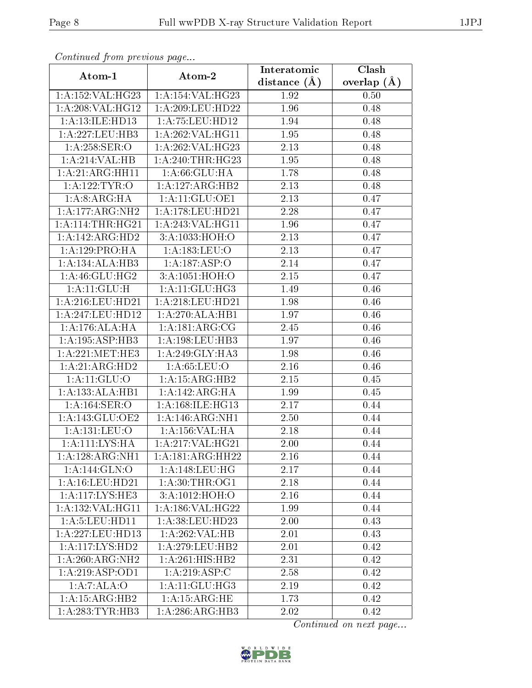| Continuatu jibin prototos pago |                     | Interatomic    | Clash           |
|--------------------------------|---------------------|----------------|-----------------|
| Atom-1                         | Atom-2              | distance $(A)$ | overlap $(\AA)$ |
| 1:A:152:VAL:HG23               | 1:A:154:VAL:HG23    | 1.92           | 0.50            |
| 1: A:208: VAL:HGI2             | 1:A:209:LEU:HD22    | 1.96           | 0.48            |
| 1: A:13: ILE: HD13             | 1: A: 75: LEU: HD12 | 1.94           | 0.48            |
| 1: A: 227: LEU: HB3            | 1:A:262:VAL:HG11    | 1.95           | 0.48            |
| 1: A:258: SER:O                | 1:A:262:VAL:HG23    | 2.13           | 0.48            |
| 1:A:214:VAL:HB                 | 1: A:240:THR:HG23   | 1.95           | 0.48            |
| 1:A:21:ARG:HH11                | 1: A:66: GLU:HA     | 1.78           | 0.48            |
| 1: A:122:TYR:O                 | 1:A:127:ARG:HB2     | 2.13           | 0.48            |
| 1:A:8:ARG:HA                   | 1:A:11:GLU:OE1      | 2.13           | 0.47            |
| 1:A:177:ARG:NH2                | 1:A:178:LEU:HD21    | 2.28           | 0.47            |
| 1: A:114:THR:HG21              | 1:A:243:VAL:HG11    | 1.96           | 0.47            |
| 1:A:142:ARG:HD2                | 3:A:1033:HOH:O      | 2.13           | 0.47            |
| 1:A:129:PRO:HA                 | 1:A:183:LEU:O       | 2.13           | 0.47            |
| 1:A:134:ALA:HB3                | 1:A:187:ASP:O       | 2.14           | 0.47            |
| 1: A:46: GLU: HG2              | 3:A:1051:HOH:O      | 2.15           | 0.47            |
| 1:A:11:GLU:H                   | 1:A:11:GLU:HG3      | 1.49           | 0.46            |
| 1:A:216:LEU:HD21               | 1:A:218:LEU:HD21    | 1.98           | 0.46            |
| 1: A:247:LEU:HD12              | 1:A:270:ALA:HB1     | 1.97           | 0.46            |
| 1:A:176:ALA:HA                 | 1: A:181: ARG: CG   | 2.45           | 0.46            |
| 1: A: 195: ASP: HB3            | 1: A: 198: LEU: HB3 | 1.97           | 0.46            |
| 1: A:221: MET:HE3              | 1: A:249: GLY:HA3   | 1.98           | 0.46            |
| 1:A:21:ARG:HD2                 | 1: A:65:LEU:O       | 2.16           | 0.46            |
| 1: A:11: GLU:O                 | 1:A:15:ARG:HB2      | 2.15           | 0.45            |
| 1:A:133:ALA:HB1                | 1:A:142:ARG:HA      | 1.99           | 0.45            |
| 1:A:164:SER:O                  | 1: A:168: ILE: HG13 | 2.17           | 0.44            |
| 1: A:143: GLU:OE2              | 1:A:146:ARG:NH1     | 2.50           | 0.44            |
| 1: A: 131: LEU: O              | 1:A:156:VAL:HA      | 2.18           | 0.44            |
| 1: A: 111: LYS: HA             | 1:A:217:VAL:HG21    | 2.00           | 0.44            |
| $1:A:128:A\overline{RG:NH1}$   | 1:A:181:ARG:HH22    | 2.16           | 0.44            |
| 1:A:144:GLN:O                  | 1:A:148:LEU:HG      | 2.17           | 0.44            |
| 1: A: 16: LEU: HD21            | 1: A:30:THR:OG1     | 2.18           | 0.44            |
| 1:A:117:LYS:HE3                | 3:A:1012:HOH:O      | 2.16           | 0.44            |
| 1: A: 132: VAL: HG11           | 1: A: 186: VAL:HG22 | 1.99           | 0.44            |
| 1: A: 5: LEU: HD11             | 1:A:38:LEU:HD23     | 2.00           | 0.43            |
| 1: A:227:LEU:HD13              | 1:A:262:VAL:HB      | 2.01           | 0.43            |
| 1: A:117: LYS: HD2             | 1: A:279:LEU:HB2    | 2.01           | 0.42            |
| 1:A:260:ARG:NH2                | 1:A:261:HIS:HB2     | 2.31           | 0.42            |
| 1:A:219:ASP:OD1                | 1:A:219:ASP:C       | 2.58           | 0.42            |
| 1:A:7:ALA:O                    | 1: A:11: GLU: HG3   | 2.19           | 0.42            |
| 1:A:15:ARG:HB2                 | 1: A: 15: ARG: HE   | 1.73           | 0.42            |
| 1: A: 283: TYR: HB3            | 1:A:286:ARG:HB3     | 2.02           | 0.42            |

Continued from previous page.

Continued on next page...

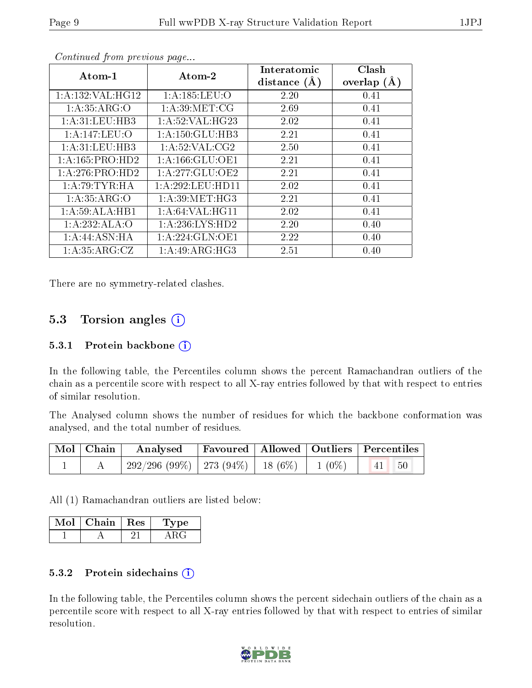| Atom-1               | Atom-2              | Interatomic<br>distance $(A)$ | Clash<br>overlap $(A)$ |  |  |  |  |  |
|----------------------|---------------------|-------------------------------|------------------------|--|--|--|--|--|
| 1: A: 132: VAL: HG12 | 1: A: 185: LEU: O   | 2.20                          | 0.41                   |  |  |  |  |  |
| 1:A:35:ARG:O         | 1: A:39:MET:CG      | 2.69                          | 0.41                   |  |  |  |  |  |
| 1: A:31:LEU:HB3      | 1: A:52: VAL:HG23   | 2.02                          | 0.41                   |  |  |  |  |  |
| 1:A:147:LEU:O        | 1:A:150:GLU:HB3     | 2.21                          | 0.41                   |  |  |  |  |  |
| 1: A:31:LEU:HB3      | 1: A:52:VAL: CG2    | 2.50                          | 0.41                   |  |  |  |  |  |
| 1:A:165:PRO:HD2      | 1: A: 166: GLU: OE1 | 2.21                          | 0.41                   |  |  |  |  |  |
| 1:A:276:PRO:HD2      | 1:A:277:GLU:OE2     | 2.21                          | 0.41                   |  |  |  |  |  |
| 1: A:79:TYR:HA       | 1:A:292:LEU:HD11    | 2.02                          | 0.41                   |  |  |  |  |  |
| 1: A:35: ARG:O       | 1: A:39:MET:HG3     | 2.21                          | 0.41                   |  |  |  |  |  |
| 1:A:59:ALA:HB1       | 1: A:64: VAL: HG11  | 2.02                          | 0.41                   |  |  |  |  |  |
| 1:A:232:ALA:O        | 1:A:236:LYS:HD2     | 2.20                          | 0.40                   |  |  |  |  |  |
| 1: A:44: ASN: HA     | 1:A:224:GLN:OE1     | 2.22                          | 0.40                   |  |  |  |  |  |
| 1:A:35:ARG:CZ        | 1: A:49: ARG:HG3    | 2.51                          | 0.40                   |  |  |  |  |  |

Continued from previous page...

There are no symmetry-related clashes.

## 5.3 Torsion angles  $(i)$

#### 5.3.1 Protein backbone (i)

In the following table, the Percentiles column shows the percent Ramachandran outliers of the chain as a percentile score with respect to all X-ray entries followed by that with respect to entries of similar resolution.

The Analysed column shows the number of residues for which the backbone conformation was analysed, and the total number of residues.

| $\vert$ Mol $\vert$ Chain $\vert$ | Analysed   Favoured   Allowed   Outliers   Percentiles     |  |  |  |
|-----------------------------------|------------------------------------------------------------|--|--|--|
|                                   | $292/296$ (99\%)   273 (94\%)   18 (6\%)   1 (0\%)   41 50 |  |  |  |

All (1) Ramachandran outliers are listed below:

| Mol | ${\rm Chain \mid Res}$ | 'Type |
|-----|------------------------|-------|
|     |                        |       |

#### 5.3.2 Protein sidechains (i)

In the following table, the Percentiles column shows the percent sidechain outliers of the chain as a percentile score with respect to all X-ray entries followed by that with respect to entries of similar resolution.

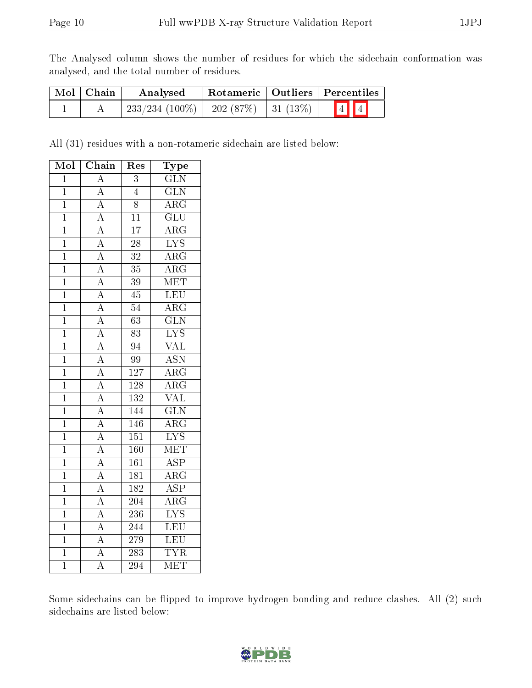The Analysed column shows the number of residues for which the sidechain conformation was analysed, and the total number of residues.

| $Mol$   Chain | Analysed                                   | Rotameric   Outliers   Percentiles |  |                         |  |
|---------------|--------------------------------------------|------------------------------------|--|-------------------------|--|
|               | $233/234$ (100\%)   202 (87\%)   31 (13\%) |                                    |  | $\boxed{4}$ $\boxed{4}$ |  |

All (31) residues with a non-rotameric sidechain are listed below:

| $\overline{\text{Mol}}$ | Chain                               | $\operatorname{Res}% \left( \mathcal{N}\right) \simeq\operatorname{Res}(\mathcal{N}_{0})^{\ast}$ | Type                      |
|-------------------------|-------------------------------------|--------------------------------------------------------------------------------------------------|---------------------------|
| $\overline{1}$          | $\overline{\rm A}$                  | $\overline{3}$                                                                                   | $\overline{\text{GLN}}$   |
| $\overline{1}$          | $\overline{A}$                      | $\overline{4}$                                                                                   | $\overline{\text{GLN}}$   |
| $\mathbf{1}$            |                                     | 8                                                                                                | $\overline{\rm{ARG}}$     |
| $\overline{1}$          | $\frac{\overline{A}}{\overline{A}}$ | $\overline{11}$                                                                                  | $\overline{{\rm GLU}}$    |
| $\overline{1}$          | $\overline{A}$                      | $\overline{17}$                                                                                  | $\overline{\rm{ARG}}$     |
| $\overline{1}$          | $\frac{\overline{A}}{\overline{A}}$ | $\overline{28}$                                                                                  | $\overline{\text{LYS}}$   |
| $\mathbf 1$             |                                     | $\overline{32}$                                                                                  | $\overline{\rm{ARG}}$     |
| $\overline{1}$          |                                     | $\overline{3}5$                                                                                  | $\overline{\rm{ARG}}$     |
| $\overline{1}$          |                                     | $\overline{39}$                                                                                  | MET                       |
| $\mathbf 1$             | $\frac{\overline{A}}{\overline{A}}$ | $\overline{45}$                                                                                  | LEU                       |
| $\mathbf{1}$            | $\frac{\overline{A}}{A}$            | $\overline{54}$                                                                                  | $\overline{\rm{ARG}}$     |
| $\mathbf{1}$            |                                     | $\overline{63}$                                                                                  | $\overline{\text{GLN}}$   |
| $\overline{1}$          | $\overline{A}$                      | $\overline{83}$                                                                                  | $\overline{\text{LYS}}$   |
| $\overline{1}$          | $\frac{\overline{A}}{\overline{A}}$ | $\overline{94}$                                                                                  | $\overline{\text{VAL}}$   |
| $\mathbf{1}$            |                                     | $\overline{99}$                                                                                  | $\overline{\mathrm{ASN}}$ |
| $\overline{1}$          |                                     | $\overline{127}$                                                                                 | $\overline{\rm{ARG}}$     |
| $\overline{1}$          | $\frac{\overline{A}}{A}$            | 128                                                                                              | $\overline{\rm{ARG}}$     |
| $\mathbf 1$             |                                     | 132                                                                                              | $\overline{\text{VAL}}$   |
| $\mathbf{1}$            | $\overline{A}$                      | 144                                                                                              | $\overline{\text{GLN}}$   |
| $\overline{1}$          |                                     | 146                                                                                              | $\overline{\rm{ARG}}$     |
| $\overline{1}$          |                                     | $\overline{151}$                                                                                 | $\overline{\text{LYS}}$   |
| $\overline{1}$          | $\frac{\overline{A}}{\overline{A}}$ | 160                                                                                              | MET                       |
| $\overline{1}$          | $\overline{A}$                      | $\overline{161}$                                                                                 | $\overline{\text{ASP}}$   |
| $\overline{1}$          | $\overline{A}$                      | $\overline{181}$                                                                                 | $\overline{\rm{ARG}}$     |
| $\mathbf 1$             | $\overline{A}$                      | $\overline{182}$                                                                                 | $\overline{\text{ASP}}$   |
| $\overline{1}$          | $\overline{A}$                      | 204                                                                                              | $\overline{\rm ARG}$      |
| $\overline{1}$          | $\overline{A}$                      | $\overline{236}$                                                                                 | $\overline{\text{LYS}}$   |
| $\overline{1}$          |                                     | 244                                                                                              | $\overline{\text{LEU}}$   |
| $\overline{1}$          | $\frac{\overline{A}}{\overline{A}}$ | 279                                                                                              | LEU                       |
| $\mathbf{1}$            |                                     | $\overline{283}$                                                                                 | <b>TYR</b>                |
| $\overline{1}$          | $\overline{\rm A}$                  | 294                                                                                              | MET                       |

Some sidechains can be flipped to improve hydrogen bonding and reduce clashes. All (2) such sidechains are listed below:

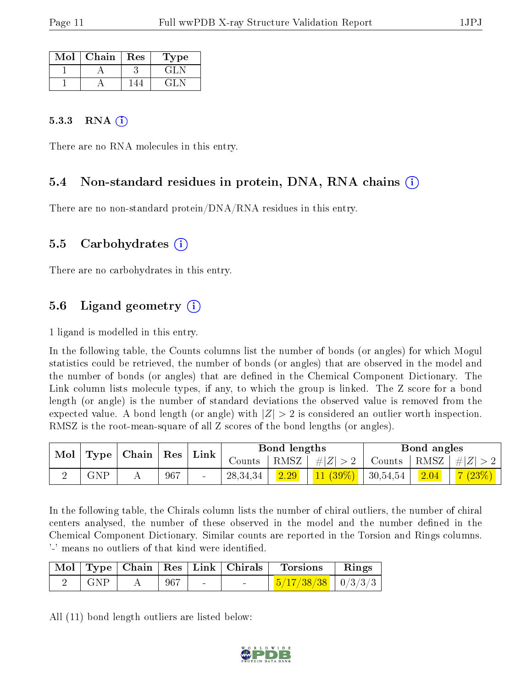| Mol | Chain | Res | $\Gamma$ ype |
|-----|-------|-----|--------------|
|     |       |     | GEN          |
|     |       |     | 41.          |

#### 5.3.3 RNA  $(i)$

There are no RNA molecules in this entry.

#### 5.4 Non-standard residues in protein, DNA, RNA chains (i)

There are no non-standard protein/DNA/RNA residues in this entry.

#### 5.5 Carbohydrates (i)

There are no carbohydrates in this entry.

### 5.6 Ligand geometry  $(i)$

1 ligand is modelled in this entry.

In the following table, the Counts columns list the number of bonds (or angles) for which Mogul statistics could be retrieved, the number of bonds (or angles) that are observed in the model and the number of bonds (or angles) that are defined in the Chemical Component Dictionary. The Link column lists molecule types, if any, to which the group is linked. The Z score for a bond length (or angle) is the number of standard deviations the observed value is removed from the expected value. A bond length (or angle) with  $|Z| > 2$  is considered an outlier worth inspection. RMSZ is the root-mean-square of all Z scores of the bond lengths (or angles).

| Mol |      | Type   Chain | $\mid$ Res $\mid$ | Link   |            | Bond lengths |            |             | Bond angles |                   |
|-----|------|--------------|-------------------|--------|------------|--------------|------------|-------------|-------------|-------------------|
|     |      |              |                   |        | Jounts -   | RMSZ         | $\# Z $    | Counts      |             | $ RMSZ  \#  Z  >$ |
|     | GNP. |              | 967               | $\sim$ | 28, 34, 34 | 2.29         | $11(39\%)$ | $+30,54,54$ | 2.04        | 7(23%)            |

In the following table, the Chirals column lists the number of chiral outliers, the number of chiral centers analysed, the number of these observed in the model and the number defined in the Chemical Component Dictionary. Similar counts are reported in the Torsion and Rings columns. '-' means no outliers of that kind were identified.

|     |     | Mol   Type   Chain   Res   Link   Chirals | <b>Torsions</b>                | Rings |
|-----|-----|-------------------------------------------|--------------------------------|-------|
| GNP | 967 | $\sim$                                    | $\frac{5}{17/38/38}$   0/3/3/3 |       |

All (11) bond length outliers are listed below:

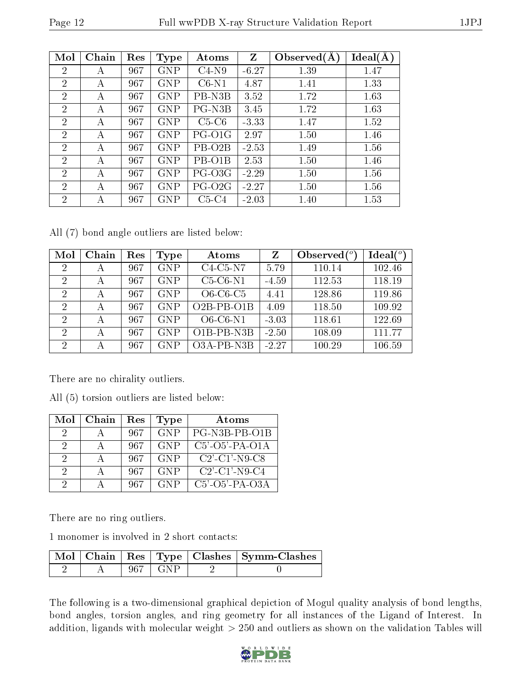| Mol            | Chain | Res | Type       | Atoms               | $\mathbf{Z}$ | Observed $(A)$ | Ideal(A |
|----------------|-------|-----|------------|---------------------|--------------|----------------|---------|
| $\overline{2}$ | А     | 967 | <b>GNP</b> | $C4-N9$             | $-6.27$      | 1.39           | 1.47    |
| $\overline{2}$ | А     | 967 | <b>GNP</b> | $C6-N1$             | 4.87         | 1.41           | 1.33    |
| $\overline{2}$ | А     | 967 | <b>GNP</b> | PB-N3B              | 3.52         | 1.72           | 1.63    |
| $\overline{2}$ | А     | 967 | <b>GNP</b> | PG-N3B              | 3.45         | 1.72           | 1.63    |
| $\overline{2}$ | А     | 967 | <b>GNP</b> | $C5-C6$             | $-3.33$      | 1.47           | 1.52    |
| $\overline{2}$ | А     | 967 | <b>GNP</b> | PG-O1G              | 2.97         | 1.50           | 1.46    |
| $\overline{2}$ | А     | 967 | <b>GNP</b> | PB-O <sub>2</sub> B | $-2.53$      | 1.49           | 1.56    |
| $\overline{2}$ | А     | 967 | <b>GNP</b> | PB-O1B              | 2.53         | 1.50           | 1.46    |
| $\overline{2}$ | А     | 967 | <b>GNP</b> | PG-O3G              | $-2.29$      | 1.50           | 1.56    |
| $\overline{2}$ | А     | 967 | <b>GNP</b> | PG-O <sub>2G</sub>  | $-2.27$      | 1.50           | 1.56    |
| $\overline{2}$ | А     | 967 | GNP        | $C5-C4$             | $-2.03$      | 1.40           | 1.53    |

All (7) bond angle outliers are listed below:

| Mol            | Chain | Res | Type       | Atoms              | Z       | Observed $(°)$ | Ideal <sup>o</sup> |
|----------------|-------|-----|------------|--------------------|---------|----------------|--------------------|
| 2              | А     | 967 | <b>GNP</b> | $C4-C5-N7$         | 5.79    | 110.14         | 102.46             |
| $\overline{2}$ | А     | 967 | <b>GNP</b> | $C5-C6-N1$         | $-4.59$ | 112.53         | 118.19             |
| $\overline{2}$ | А     | 967 | <b>GNP</b> | $O6-C6-C5$         | 4.41    | 128.86         | 119.86             |
| $\overline{2}$ | А     | 967 | <b>GNP</b> | $O2B$ -PB- $O1B$   | 4.09    | 118.50         | 109.92             |
| 2              | А     | 967 | <b>GNP</b> | $O6$ - $C6$ - $N1$ | $-3.03$ | 118.61         | 122.69             |
| $\overline{2}$ | А     | 967 | <b>GNP</b> | O1B-PB-N3B         | $-2.50$ | 108.09         | 111.77             |
| റ              | А     | 967 | <b>GNP</b> | O3A-PB-N3B         | $-2.27$ | 100.29         | 106.59             |

There are no chirality outliers.

All (5) torsion outliers are listed below:

| Mol           | Chain | Res | <b>Type</b> | Atoms                                           |
|---------------|-------|-----|-------------|-------------------------------------------------|
| $\mathcal{D}$ |       | 967 | <b>GNP</b>  | PG-N3B-PB-O1B                                   |
| $\mathcal{D}$ |       | 967 | <b>GNP</b>  | $C5'$ -O5'-PA-O1A                               |
| $\mathcal{D}$ |       | 967 | <b>GNP</b>  | $C2'$ -C1'-N9-C8                                |
| $\mathcal{L}$ |       | 967 | <b>GNP</b>  | $C2$ <sup>-</sup> $C1$ <sup>-</sup> $N9$ - $C4$ |
| 9             |       | 967 | GNP         | $C5'$ -O5'-PA-O3A                               |

There are no ring outliers.

1 monomer is involved in 2 short contacts:

|  |      | Mol   Chain   Res   Type   Clashes   Symm-Clashes |
|--|------|---------------------------------------------------|
|  | GN P |                                                   |

The following is a two-dimensional graphical depiction of Mogul quality analysis of bond lengths, bond angles, torsion angles, and ring geometry for all instances of the Ligand of Interest. In addition, ligands with molecular weight  $> 250$  and outliers as shown on the validation Tables will

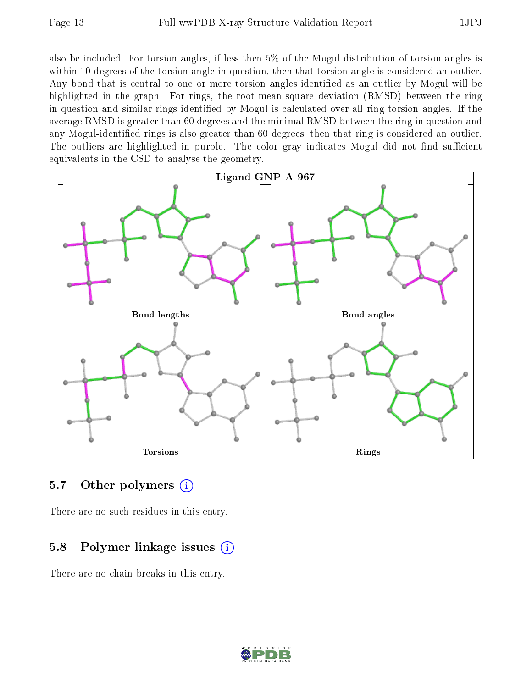also be included. For torsion angles, if less then 5% of the Mogul distribution of torsion angles is within 10 degrees of the torsion angle in question, then that torsion angle is considered an outlier. Any bond that is central to one or more torsion angles identified as an outlier by Mogul will be highlighted in the graph. For rings, the root-mean-square deviation (RMSD) between the ring in question and similar rings identified by Mogul is calculated over all ring torsion angles. If the average RMSD is greater than 60 degrees and the minimal RMSD between the ring in question and

any Mogul-identified rings is also greater than 60 degrees, then that ring is considered an outlier. The outliers are highlighted in purple. The color gray indicates Mogul did not find sufficient equivalents in the CSD to analyse the geometry.



## 5.7 [O](https://www.wwpdb.org/validation/2017/XrayValidationReportHelp#nonstandard_residues_and_ligands)ther polymers (i)

There are no such residues in this entry.

## 5.8 Polymer linkage issues  $(i)$

There are no chain breaks in this entry.